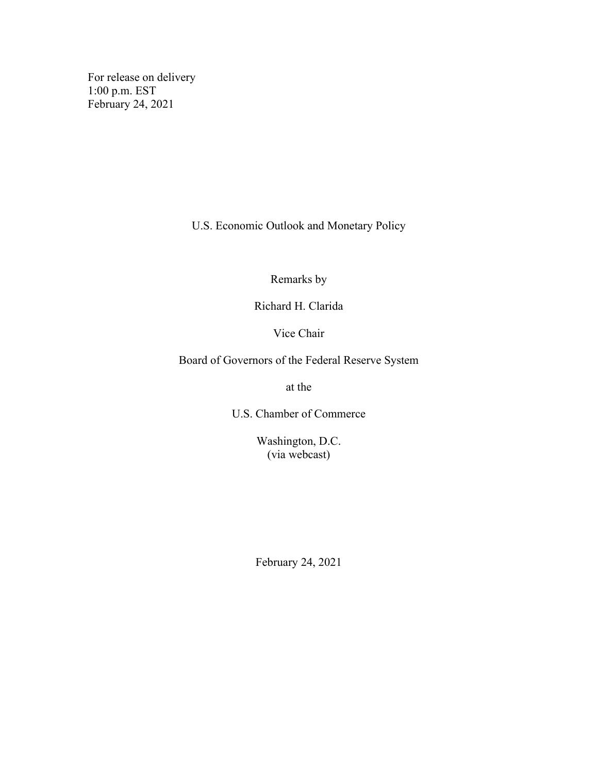For release on delivery 1:00 p.m. EST February 24, 2021

U.S. Economic Outlook and Monetary Policy

Remarks by

Richard H. Clarida

Vice Chair

Board of Governors of the Federal Reserve System

at the

U.S. Chamber of Commerce

Washington, D.C. (via webcast)

February 24, 2021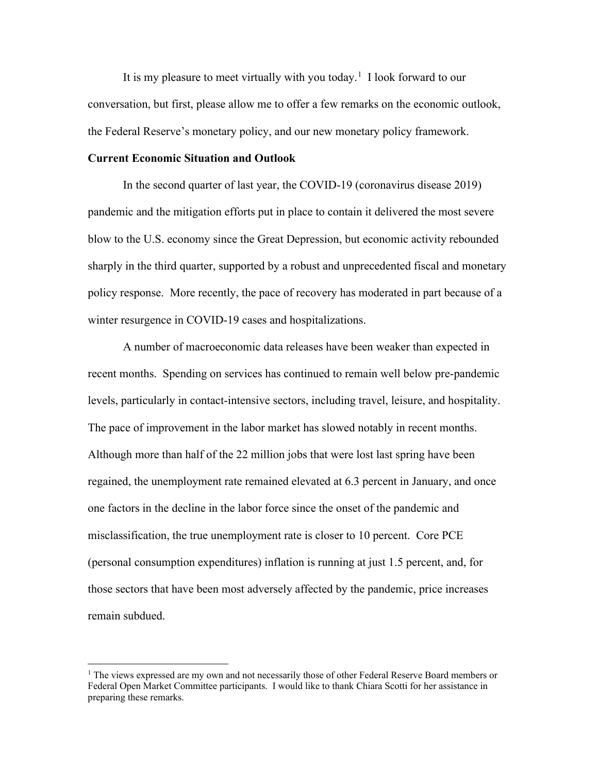It is my pleasure to meet virtually with you today.<sup>[1](#page-1-0)</sup> I look forward to our conversation, but first, please allow me to offer a few remarks on the economic outlook, the Federal Reserve's monetary policy, and our new monetary policy framework.

## **Current Economic Situation and Outlook**

In the second quarter of last year, the COVID-19 (coronavirus disease 2019) pandemic and the mitigation efforts put in place to contain it delivered the most severe blow to the U.S. economy since the Great Depression, but economic activity rebounded sharply in the third quarter, supported by a robust and unprecedented fiscal and monetary policy response. More recently, the pace of recovery has moderated in part because of a winter resurgence in COVID-19 cases and hospitalizations.

A number of macroeconomic data releases have been weaker than expected in recent months. Spending on services has continued to remain well below pre-pandemic levels, particularly in contact-intensive sectors, including travel, leisure, and hospitality. The pace of improvement in the labor market has slowed notably in recent months. Although more than half of the 22 million jobs that were lost last spring have been regained, the unemployment rate remained elevated at 6.3 percent in January, and once one factors in the decline in the labor force since the onset of the pandemic and misclassification, the true unemployment rate is closer to 10 percent. Core PCE (personal consumption expenditures) inflation is running at just 1.5 percent, and, for those sectors that have been most adversely affected by the pandemic, price increases remain subdued.

<span id="page-1-0"></span> $<sup>1</sup>$  The views expressed are my own and not necessarily those of other Federal Reserve Board members or</sup> Federal Open Market Committee participants. I would like to thank Chiara Scotti for her assistance in preparing these remarks.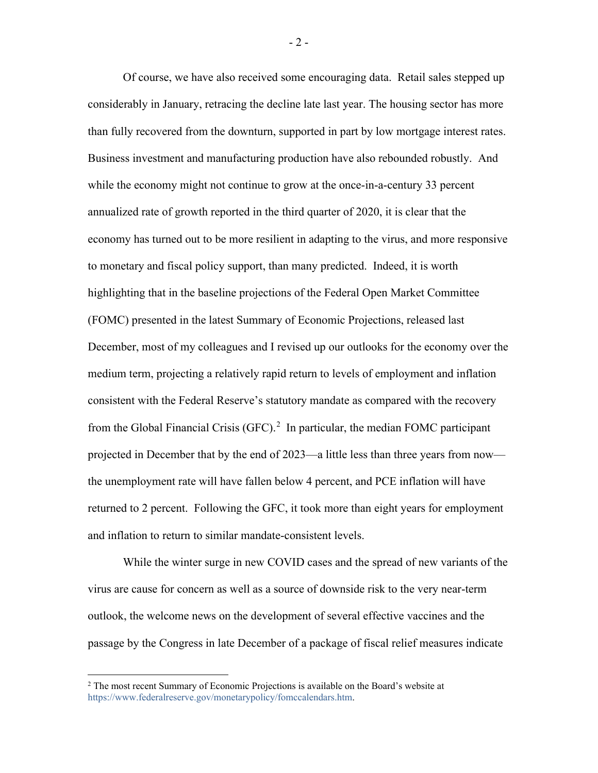Of course, we have also received some encouraging data. Retail sales stepped up considerably in January, retracing the decline late last year. The housing sector has more than fully recovered from the downturn, supported in part by low mortgage interest rates. Business investment and manufacturing production have also rebounded robustly. And while the economy might not continue to grow at the once-in-a-century 33 percent annualized rate of growth reported in the third quarter of 2020, it is clear that the economy has turned out to be more resilient in adapting to the virus, and more responsive to monetary and fiscal policy support, than many predicted. Indeed, it is worth highlighting that in the baseline projections of the Federal Open Market Committee (FOMC) presented in the latest Summary of Economic Projections, released last December, most of my colleagues and I revised up our outlooks for the economy over the medium term, projecting a relatively rapid return to levels of employment and inflation consistent with the Federal Reserve's statutory mandate as compared with the recovery from the Global Financial Crisis  $(GFC)$ .<sup>[2](#page-2-0)</sup> In particular, the median FOMC participant projected in December that by the end of 2023—a little less than three years from now the unemployment rate will have fallen below 4 percent, and PCE inflation will have returned to 2 percent. Following the GFC, it took more than eight years for employment and inflation to return to similar mandate-consistent levels.

While the winter surge in new COVID cases and the spread of new variants of the virus are cause for concern as well as a source of downside risk to the very near-term outlook, the welcome news on the development of several effective vaccines and the passage by the Congress in late December of a package of fiscal relief measures indicate

- 2 -

<span id="page-2-0"></span> $2$  The most recent Summary of Economic Projections is available on the Board's website at [https://www.federalreserve.gov/monetarypolicy/fomccalendars.htm.](https://www.federalreserve.gov/monetarypolicy/fomccalendars.htm)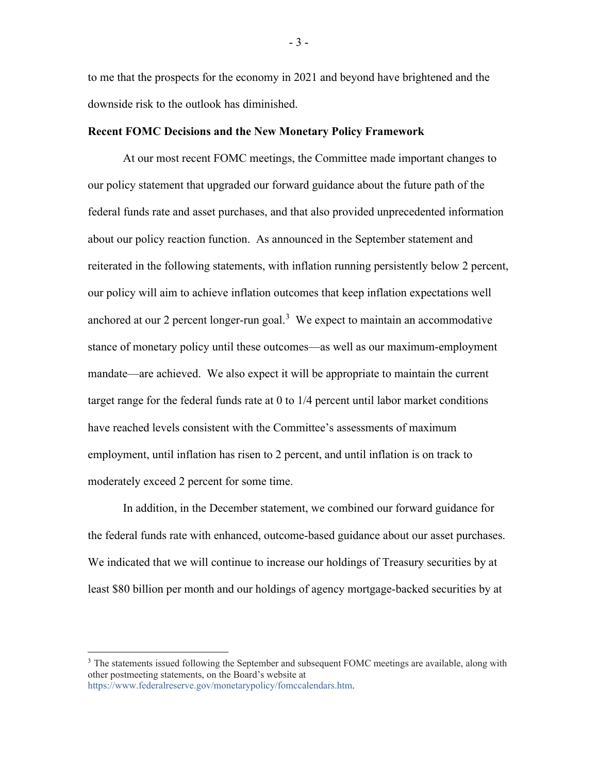to me that the prospects for the economy in 2021 and beyond have brightened and the downside risk to the outlook has diminished.

## **Recent FOMC Decisions and the New Monetary Policy Framework**

At our most recent FOMC meetings, the Committee made important changes to our policy statement that upgraded our forward guidance about the future path of the federal funds rate and asset purchases, and that also provided unprecedented information about our policy reaction function. As announced in the September statement and reiterated in the following statements, with inflation running persistently below 2 percent, our policy will aim to achieve inflation outcomes that keep inflation expectations well anchored at our 2 percent longer-run goal.<sup>[3](#page-3-0)</sup> We expect to maintain an accommodative stance of monetary policy until these outcomes—as well as our maximum-employment mandate—are achieved. We also expect it will be appropriate to maintain the current target range for the federal funds rate at 0 to 1/4 percent until labor market conditions have reached levels consistent with the Committee's assessments of maximum employment, until inflation has risen to 2 percent, and until inflation is on track to moderately exceed 2 percent for some time.

In addition, in the December statement, we combined our forward guidance for the federal funds rate with enhanced, outcome-based guidance about our asset purchases. We indicated that we will continue to increase our holdings of Treasury securities by at least \$80 billion per month and our holdings of agency mortgage-backed securities by at

- 3 -

<span id="page-3-0"></span><sup>&</sup>lt;sup>3</sup> The statements issued following the September and subsequent FOMC meetings are available, along with other postmeeting statements, on the Board's website at [https://www.federalreserve.gov/monetarypolicy/fomccalendars.htm.](https://www.federalreserve.gov/monetarypolicy/fomccalendars.htm)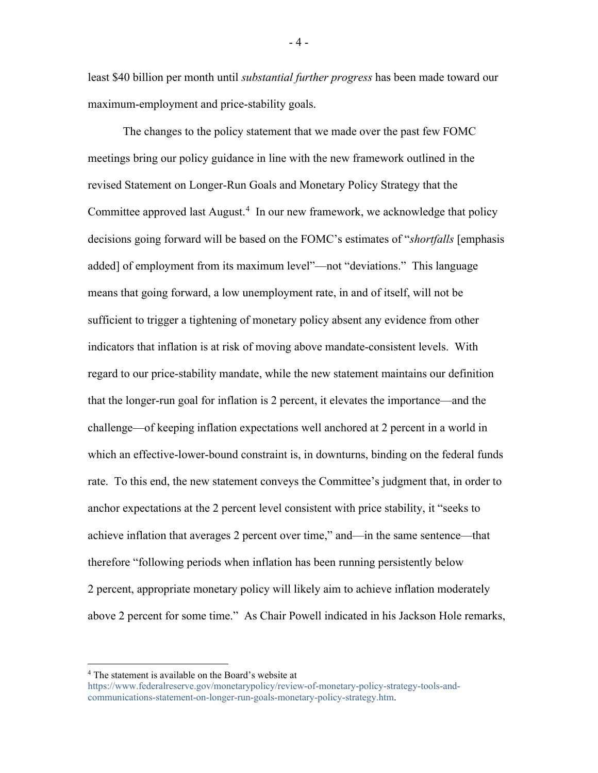least \$40 billion per month until *substantial further progress* has been made toward our maximum-employment and price-stability goals.

The changes to the policy statement that we made over the past few FOMC meetings bring our policy guidance in line with the new framework outlined in the revised Statement on Longer-Run Goals and Monetary Policy Strategy that the Committee approved last August.<sup>[4](#page-4-0)</sup> In our new framework, we acknowledge that policy decisions going forward will be based on the FOMC's estimates of "*shortfalls* [emphasis added] of employment from its maximum level"—not "deviations." This language means that going forward, a low unemployment rate, in and of itself, will not be sufficient to trigger a tightening of monetary policy absent any evidence from other indicators that inflation is at risk of moving above mandate-consistent levels. With regard to our price-stability mandate, while the new statement maintains our definition that the longer-run goal for inflation is 2 percent, it elevates the importance—and the challenge—of keeping inflation expectations well anchored at 2 percent in a world in which an effective-lower-bound constraint is, in downturns, binding on the federal funds rate. To this end, the new statement conveys the Committee's judgment that, in order to anchor expectations at the 2 percent level consistent with price stability, it "seeks to achieve inflation that averages 2 percent over time," and—in the same sentence—that therefore "following periods when inflation has been running persistently below 2 percent, appropriate monetary policy will likely aim to achieve inflation moderately above 2 percent for some time." As Chair Powell indicated in his Jackson Hole remarks,

- 4 -

<span id="page-4-0"></span><sup>4</sup> The statement is available on the Board's website at

[https://www.federalreserve.gov/monetarypolicy/review-of-monetary-policy-strategy-tools-and](https://www.federalreserve.gov/monetarypolicy/review-of-monetary-policy-strategy-tools-and-communications-statement-on-longer-run-goals-monetary-policy-strategy.htm)[communications-statement-on-longer-run-goals-monetary-policy-strategy.htm.](https://www.federalreserve.gov/monetarypolicy/review-of-monetary-policy-strategy-tools-and-communications-statement-on-longer-run-goals-monetary-policy-strategy.htm)